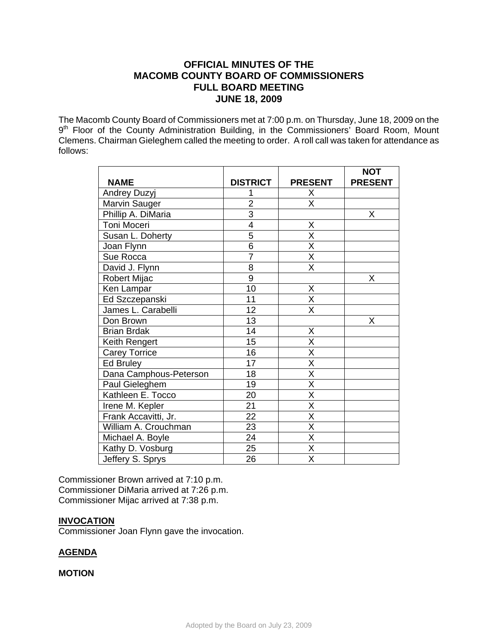# **OFFICIAL MINUTES OF THE MACOMB COUNTY BOARD OF COMMISSIONERS FULL BOARD MEETING JUNE 18, 2009**

The Macomb County Board of Commissioners met at 7:00 p.m. on Thursday, June 18, 2009 on the 9<sup>th</sup> Floor of the County Administration Building, in the Commissioners' Board Room, Mount Clemens. Chairman Gieleghem called the meeting to order. A roll call was taken for attendance as follows:

|                        |                 |                         | <b>NOT</b>     |
|------------------------|-----------------|-------------------------|----------------|
| <b>NAME</b>            | <b>DISTRICT</b> | <b>PRESENT</b>          | <b>PRESENT</b> |
| <b>Andrey Duzyj</b>    |                 | X                       |                |
| Marvin Sauger          | $\overline{2}$  | X                       |                |
| Phillip A. DiMaria     | $\overline{3}$  |                         | X              |
| Toni Moceri            | 4               | X                       |                |
| Susan L. Doherty       | $\overline{5}$  | X                       |                |
| Joan Flynn             | $\overline{6}$  | $\overline{\mathsf{x}}$ |                |
| Sue Rocca              | $\overline{7}$  | $\overline{\mathsf{x}}$ |                |
| David J. Flynn         | 8               | X                       |                |
| Robert Mijac           | $\overline{9}$  |                         | Χ              |
| Ken Lampar             | 10              | X                       |                |
| Ed Szczepanski         | 11              | $\overline{\mathsf{X}}$ |                |
| James L. Carabelli     | 12              | X                       |                |
| Don Brown              | 13              |                         | X              |
| <b>Brian Brdak</b>     | 14              | X                       |                |
| Keith Rengert          | 15              | $\overline{X}$          |                |
| <b>Carey Torrice</b>   | 16              | $\overline{\mathsf{x}}$ |                |
| <b>Ed Bruley</b>       | 17              | $\overline{\mathsf{x}}$ |                |
| Dana Camphous-Peterson | 18              | $\overline{\mathsf{X}}$ |                |
| Paul Gieleghem         | 19              | X                       |                |
| Kathleen E. Tocco      | 20              | $\overline{\mathsf{x}}$ |                |
| Irene M. Kepler        | 21              | $\overline{\mathsf{X}}$ |                |
| Frank Accavitti, Jr.   | 22              | $\overline{\mathsf{x}}$ |                |
| William A. Crouchman   | 23              | $\overline{\mathsf{x}}$ |                |
| Michael A. Boyle       | 24              | $\overline{\mathsf{x}}$ |                |
| Kathy D. Vosburg       | 25              | $\overline{\mathsf{x}}$ |                |
| Jeffery S. Sprys       | 26              | X                       |                |

Commissioner Brown arrived at 7:10 p.m. Commissioner DiMaria arrived at 7:26 p.m. Commissioner Mijac arrived at 7:38 p.m.

### **INVOCATION**

Commissioner Joan Flynn gave the invocation.

# **AGENDA**

### **MOTION**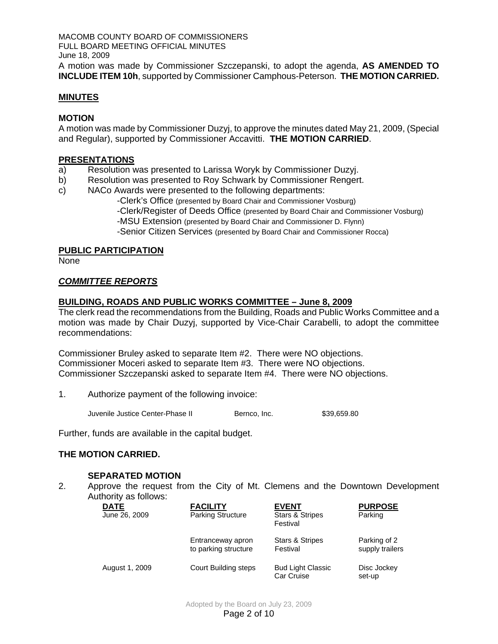MACOMB COUNTY BOARD OF COMMISSIONERS FULL BOARD MEETING OFFICIAL MINUTES June 18, 2009 A motion was made by Commissioner Szczepanski, to adopt the agenda, **AS AMENDED TO INCLUDE ITEM 10h**, supported by Commissioner Camphous-Peterson. **THE MOTION CARRIED.** 

### **MINUTES**

### **MOTION**

A motion was made by Commissioner Duzyj, to approve the minutes dated May 21, 2009, (Special and Regular), supported by Commissioner Accavitti. **THE MOTION CARRIED**.

#### **PRESENTATIONS**

- a) Resolution was presented to Larissa Woryk by Commissioner Duzyj.
- b) Resolution was presented to Roy Schwark by Commissioner Rengert.
- c) NACo Awards were presented to the following departments:
	- -Clerk's Office (presented by Board Chair and Commissioner Vosburg) -Clerk/Register of Deeds Office (presented by Board Chair and Commissioner Vosburg) -MSU Extension (presented by Board Chair and Commissioner D. Flynn) -Senior Citizen Services (presented by Board Chair and Commissioner Rocca)

### **PUBLIC PARTICIPATION**

None

### *COMMITTEE REPORTS*

### **BUILDING, ROADS AND PUBLIC WORKS COMMITTEE – June 8, 2009**

The clerk read the recommendations from the Building, Roads and Public Works Committee and a motion was made by Chair Duzyj, supported by Vice-Chair Carabelli, to adopt the committee recommendations:

Commissioner Bruley asked to separate Item #2. There were NO objections. Commissioner Moceri asked to separate Item #3. There were NO objections. Commissioner Szczepanski asked to separate Item #4. There were NO objections.

1. Authorize payment of the following invoice:

Juvenile Justice Center-Phase II Bernco, Inc. \$39,659.80

Further, funds are available in the capital budget.

# **THE MOTION CARRIED.**

### **SEPARATED MOTION**

2. Approve the request from the City of Mt. Clemens and the Downtown Development Authority as follows:

| <b>DATE</b><br>June 26, 2009 | <b>FACILITY</b><br><b>Parking Structure</b> | <b>EVENT</b><br><b>Stars &amp; Stripes</b><br>Festival | <b>PURPOSE</b><br>Parking       |
|------------------------------|---------------------------------------------|--------------------------------------------------------|---------------------------------|
|                              | Entranceway apron<br>to parking structure   | <b>Stars &amp; Stripes</b><br>Festival                 | Parking of 2<br>supply trailers |
| August 1, 2009               | Court Building steps                        | <b>Bud Light Classic</b><br>Car Cruise                 | Disc Jockey<br>set-up           |

Adopted by the Board on July 23, 2009 Page 2 of 10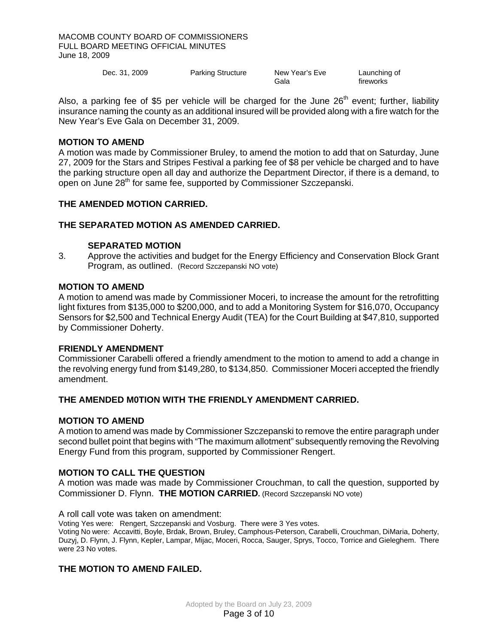MACOMB COUNTY BOARD OF COMMISSIONERS FULL BOARD MEETING OFFICIAL MINUTES June 18, 2009

| Dec. 31, 2009 | <b>Parking Structure</b> | New Year's Eve | Launching of |
|---------------|--------------------------|----------------|--------------|
|               |                          | Gala           | fireworks    |

Also, a parking fee of \$5 per vehicle will be charged for the June  $26<sup>th</sup>$  event; further, liability insurance naming the county as an additional insured will be provided along with a fire watch for the New Year's Eve Gala on December 31, 2009.

### **MOTION TO AMEND**

A motion was made by Commissioner Bruley, to amend the motion to add that on Saturday, June 27, 2009 for the Stars and Stripes Festival a parking fee of \$8 per vehicle be charged and to have the parking structure open all day and authorize the Department Director, if there is a demand, to open on June 28<sup>th</sup> for same fee, supported by Commissioner Szczepanski.

#### **THE AMENDED MOTION CARRIED.**

#### **THE SEPARATED MOTION AS AMENDED CARRIED.**

#### **SEPARATED MOTION**

3. Approve the activities and budget for the Energy Efficiency and Conservation Block Grant Program, as outlined. (Record Szczepanski NO vote)

#### **MOTION TO AMEND**

A motion to amend was made by Commissioner Moceri, to increase the amount for the retrofitting light fixtures from \$135,000 to \$200,000, and to add a Monitoring System for \$16,070, Occupancy Sensors for \$2,500 and Technical Energy Audit (TEA) for the Court Building at \$47,810, supported by Commissioner Doherty.

#### **FRIENDLY AMENDMENT**

Commissioner Carabelli offered a friendly amendment to the motion to amend to add a change in the revolving energy fund from \$149,280, to \$134,850. Commissioner Moceri accepted the friendly amendment.

### **THE AMENDED M0TION WITH THE FRIENDLY AMENDMENT CARRIED.**

#### **MOTION TO AMEND**

A motion to amend was made by Commissioner Szczepanski to remove the entire paragraph under second bullet point that begins with "The maximum allotment" subsequently removing the Revolving Energy Fund from this program, supported by Commissioner Rengert.

### **MOTION TO CALL THE QUESTION**

A motion was made was made by Commissioner Crouchman, to call the question, supported by Commissioner D. Flynn. **THE MOTION CARRIED.** (Record Szczepanski NO vote)

A roll call vote was taken on amendment:

Voting Yes were: Rengert, Szczepanski and Vosburg. There were 3 Yes votes.

Voting No were: Accavitti, Boyle, Brdak, Brown, Bruley, Camphous-Peterson, Carabelli, Crouchman, DiMaria, Doherty, Duzyj, D. Flynn, J. Flynn, Kepler, Lampar, Mijac, Moceri, Rocca, Sauger, Sprys, Tocco, Torrice and Gieleghem. There were 23 No votes.

### **THE MOTION TO AMEND FAILED.**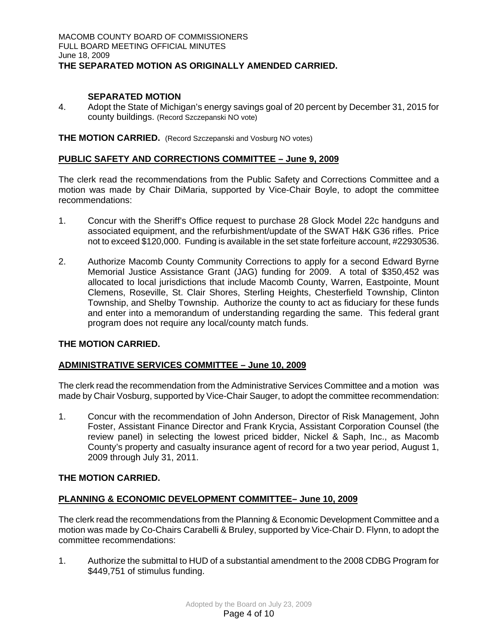### **SEPARATED MOTION**

4. Adopt the State of Michigan's energy savings goal of 20 percent by December 31, 2015 for county buildings. (Record Szczepanski NO vote)

**THE MOTION CARRIED.** (Record Szczepanski and Vosburg NO votes)

### **PUBLIC SAFETY AND CORRECTIONS COMMITTEE – June 9, 2009**

The clerk read the recommendations from the Public Safety and Corrections Committee and a motion was made by Chair DiMaria, supported by Vice-Chair Boyle, to adopt the committee recommendations:

- 1. Concur with the Sheriff's Office request to purchase 28 Glock Model 22c handguns and associated equipment, and the refurbishment/update of the SWAT H&K G36 rifles. Price not to exceed \$120,000. Funding is available in the set state forfeiture account, #22930536.
- 2. Authorize Macomb County Community Corrections to apply for a second Edward Byrne Memorial Justice Assistance Grant (JAG) funding for 2009. A total of \$350,452 was allocated to local jurisdictions that include Macomb County, Warren, Eastpointe, Mount Clemens, Roseville, St. Clair Shores, Sterling Heights, Chesterfield Township, Clinton Township, and Shelby Township. Authorize the county to act as fiduciary for these funds and enter into a memorandum of understanding regarding the same. This federal grant program does not require any local/county match funds.

### **THE MOTION CARRIED.**

# **ADMINISTRATIVE SERVICES COMMITTEE – June 10, 2009**

The clerk read the recommendation from the Administrative Services Committee and a motion was made by Chair Vosburg, supported by Vice-Chair Sauger, to adopt the committee recommendation:

1. Concur with the recommendation of John Anderson, Director of Risk Management, John Foster, Assistant Finance Director and Frank Krycia, Assistant Corporation Counsel (the review panel) in selecting the lowest priced bidder, Nickel & Saph, Inc., as Macomb County's property and casualty insurance agent of record for a two year period, August 1, 2009 through July 31, 2011.

# **THE MOTION CARRIED.**

# **PLANNING & ECONOMIC DEVELOPMENT COMMITTEE– June 10, 2009**

The clerk read the recommendations from the Planning & Economic Development Committee and a motion was made by Co-Chairs Carabelli & Bruley, supported by Vice-Chair D. Flynn, to adopt the committee recommendations:

1. Authorize the submittal to HUD of a substantial amendment to the 2008 CDBG Program for \$449,751 of stimulus funding.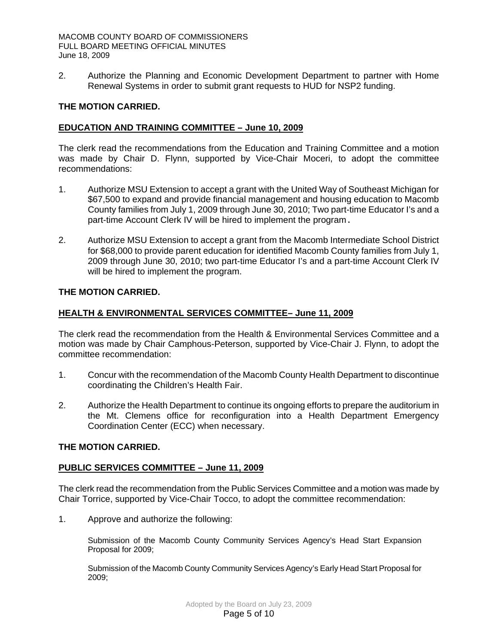2. Authorize the Planning and Economic Development Department to partner with Home Renewal Systems in order to submit grant requests to HUD for NSP2 funding.

### **THE MOTION CARRIED.**

### **EDUCATION AND TRAINING COMMITTEE – June 10, 2009**

The clerk read the recommendations from the Education and Training Committee and a motion was made by Chair D. Flynn, supported by Vice-Chair Moceri, to adopt the committee recommendations:

- 1. Authorize MSU Extension to accept a grant with the United Way of Southeast Michigan for \$67,500 to expand and provide financial management and housing education to Macomb County families from July 1, 2009 through June 30, 2010; Two part-time Educator I's and a part-time Account Clerk IV will be hired to implement the program.
- 2. Authorize MSU Extension to accept a grant from the Macomb Intermediate School District for \$68,000 to provide parent education for identified Macomb County families from July 1, 2009 through June 30, 2010; two part-time Educator I's and a part-time Account Clerk IV will be hired to implement the program.

### **THE MOTION CARRIED.**

### **HEALTH & ENVIRONMENTAL SERVICES COMMITTEE– June 11, 2009**

The clerk read the recommendation from the Health & Environmental Services Committee and a motion was made by Chair Camphous-Peterson, supported by Vice-Chair J. Flynn, to adopt the committee recommendation:

- 1. Concur with the recommendation of the Macomb County Health Department to discontinue coordinating the Children's Health Fair.
- 2. Authorize the Health Department to continue its ongoing efforts to prepare the auditorium in the Mt. Clemens office for reconfiguration into a Health Department Emergency Coordination Center (ECC) when necessary.

### **THE MOTION CARRIED.**

### **PUBLIC SERVICES COMMITTEE – June 11, 2009**

The clerk read the recommendation from the Public Services Committee and a motion was made by Chair Torrice, supported by Vice-Chair Tocco, to adopt the committee recommendation:

1. Approve and authorize the following:

Submission of the Macomb County Community Services Agency's Head Start Expansion Proposal for 2009;

Submission of the Macomb County Community Services Agency's Early Head Start Proposal for 2009;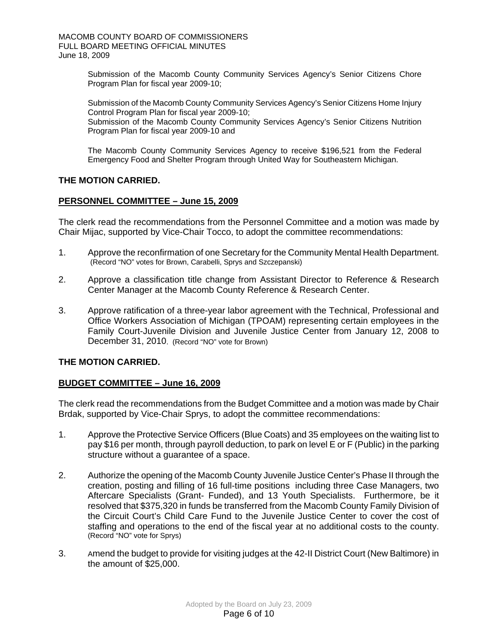Submission of the Macomb County Community Services Agency's Senior Citizens Chore Program Plan for fiscal year 2009-10;

Submission of the Macomb County Community Services Agency's Senior Citizens Home Injury Control Program Plan for fiscal year 2009-10; Submission of the Macomb County Community Services Agency's Senior Citizens Nutrition Program Plan for fiscal year 2009-10 and

The Macomb County Community Services Agency to receive \$196,521 from the Federal Emergency Food and Shelter Program through United Way for Southeastern Michigan.

### **THE MOTION CARRIED.**

### **PERSONNEL COMMITTEE – June 15, 2009**

The clerk read the recommendations from the Personnel Committee and a motion was made by Chair Mijac, supported by Vice-Chair Tocco, to adopt the committee recommendations:

- 1. Approve the reconfirmation of one Secretary for the Community Mental Health Department. (Record "NO" votes for Brown, Carabelli, Sprys and Szczepanski)
- 2. Approve a classification title change from Assistant Director to Reference & Research Center Manager at the Macomb County Reference & Research Center.
- 3. Approve ratification of a three-year labor agreement with the Technical, Professional and Office Workers Association of Michigan (TPOAM) representing certain employees in the Family Court-Juvenile Division and Juvenile Justice Center from January 12, 2008 to December 31, 2010. (Record "NO" vote for Brown)

### **THE MOTION CARRIED.**

### **BUDGET COMMITTEE – June 16, 2009**

The clerk read the recommendations from the Budget Committee and a motion was made by Chair Brdak, supported by Vice-Chair Sprys, to adopt the committee recommendations:

- 1. Approve the Protective Service Officers (Blue Coats) and 35 employees on the waiting list to pay \$16 per month, through payroll deduction, to park on level E or F (Public) in the parking structure without a guarantee of a space.
- 2. Authorize the opening of the Macomb County Juvenile Justice Center's Phase II through the creation, posting and filling of 16 full-time positions including three Case Managers, two Aftercare Specialists (Grant- Funded), and 13 Youth Specialists. Furthermore, be it resolved that \$375,320 in funds be transferred from the Macomb County Family Division of the Circuit Court's Child Care Fund to the Juvenile Justice Center to cover the cost of staffing and operations to the end of the fiscal year at no additional costs to the county. (Record "NO" vote for Sprys)
- 3. Amend the budget to provide for visiting judges at the 42-II District Court (New Baltimore) in the amount of \$25,000.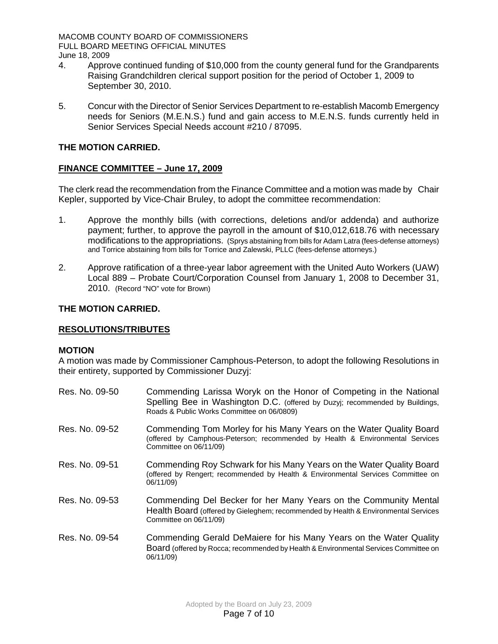MACOMB COUNTY BOARD OF COMMISSIONERS FULL BOARD MEETING OFFICIAL MINUTES June 18, 2009

- 4. Approve continued funding of \$10,000 from the county general fund for the Grandparents Raising Grandchildren clerical support position for the period of October 1, 2009 to September 30, 2010.
- 5. Concur with the Director of Senior Services Department to re-establish Macomb Emergency needs for Seniors (M.E.N.S.) fund and gain access to M.E.N.S. funds currently held in Senior Services Special Needs account #210 / 87095.

# **THE MOTION CARRIED.**

# **FINANCE COMMITTEE – June 17, 2009**

The clerk read the recommendation from the Finance Committee and a motion was made by Chair Kepler, supported by Vice-Chair Bruley, to adopt the committee recommendation:

- 1. Approve the monthly bills (with corrections, deletions and/or addenda) and authorize payment; further, to approve the payroll in the amount of \$10,012,618.76 with necessary modifications to the appropriations. (Sprys abstaining from bills for Adam Latra (fees-defense attorneys) and Torrice abstaining from bills for Torrice and Zalewski, PLLC (fees-defense attorneys.)
- 2. Approve ratification of a three-year labor agreement with the United Auto Workers (UAW) Local 889 – Probate Court/Corporation Counsel from January 1, 2008 to December 31, 2010. (Record "NO" vote for Brown)

### **THE MOTION CARRIED.**

### **RESOLUTIONS/TRIBUTES**

### **MOTION**

A motion was made by Commissioner Camphous-Peterson, to adopt the following Resolutions in their entirety, supported by Commissioner Duzyj:

| Res. No. 09-50 | Commending Larissa Woryk on the Honor of Competing in the National<br>Spelling Bee in Washington D.C. (offered by Duzyj; recommended by Buildings,<br>Roads & Public Works Committee on 06/0809) |
|----------------|--------------------------------------------------------------------------------------------------------------------------------------------------------------------------------------------------|
| Res. No. 09-52 | Commending Tom Morley for his Many Years on the Water Quality Board<br>(offered by Camphous-Peterson; recommended by Health & Environmental Services<br>Committee on 06/11/09)                   |
| Res. No. 09-51 | Commending Roy Schwark for his Many Years on the Water Quality Board<br>(offered by Rengert; recommended by Health & Environmental Services Committee on<br>06/11/09)                            |
| Res. No. 09-53 | Commending Del Becker for her Many Years on the Community Mental<br>Health Board (offered by Gieleghem; recommended by Health & Environmental Services<br>Committee on 06/11/09)                 |
| Res. No. 09-54 | Commending Gerald DeMaiere for his Many Years on the Water Quality<br>Board (offered by Rocca; recommended by Health & Environmental Services Committee on<br>06/11/09)                          |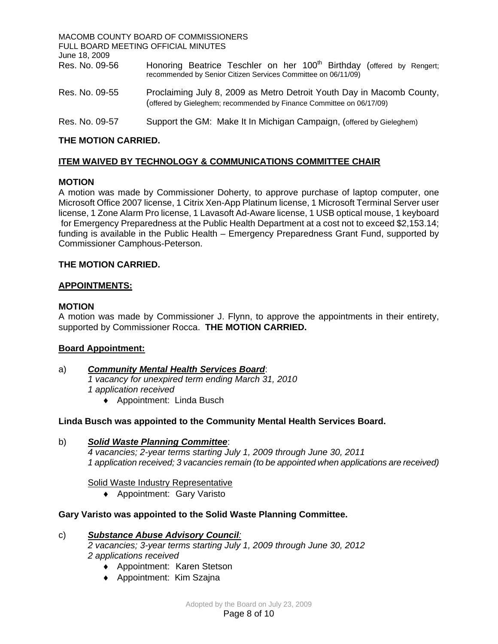| FULL BOARD MEETING OFFICIAL MINUTES<br>June 18, 2009 | MACOMB COUNTY BOARD OF COMMISSIONERS                                                                                                               |
|------------------------------------------------------|----------------------------------------------------------------------------------------------------------------------------------------------------|
| Res. No. 09-56                                       | Honoring Beatrice Teschler on her 100 <sup>th</sup> Birthday (offered by Rengert;<br>recommended by Senior Citizen Services Committee on 06/11/09) |
| Res. No. 09-55                                       | Proclaiming July 8, 2009 as Metro Detroit Youth Day in Macomb County,<br>(offered by Gieleghem; recommended by Finance Committee on 06/17/09)      |
| Res. No. 09-57                                       | Support the GM: Make It In Michigan Campaign, (offered by Gieleghem)                                                                               |

# **THE MOTION CARRIED.**

# **ITEM WAIVED BY TECHNOLOGY & COMMUNICATIONS COMMITTEE CHAIR**

# **MOTION**

A motion was made by Commissioner Doherty, to approve purchase of laptop computer, one Microsoft Office 2007 license, 1 Citrix Xen-App Platinum license, 1 Microsoft Terminal Server user license, 1 Zone Alarm Pro license, 1 Lavasoft Ad-Aware license, 1 USB optical mouse, 1 keyboard for Emergency Preparedness at the Public Health Department at a cost not to exceed \$2,153.14; funding is available in the Public Health – Emergency Preparedness Grant Fund, supported by Commissioner Camphous-Peterson.

# **THE MOTION CARRIED.**

# **APPOINTMENTS:**

### **MOTION**

A motion was made by Commissioner J. Flynn, to approve the appointments in their entirety, supported by Commissioner Rocca. **THE MOTION CARRIED.** 

# **Board Appointment:**

# a)*Community Mental Health Services Board*:

*1 vacancy for unexpired term ending March 31, 2010 1 application received* 

♦ Appointment: Linda Busch

# **Linda Busch was appointed to the Community Mental Health Services Board.**

b)*Solid Waste Planning Committee*: *4 vacancies; 2-year terms starting July 1, 2009 through June 30, 2011 1 application received; 3 vacancies remain (to be appointed when applications are received)* 

# Solid Waste Industry Representative

♦ Appointment: Gary Varisto

# **Gary Varisto was appointed to the Solid Waste Planning Committee.**

### c) *Substance Abuse Advisory Council:*

 *2 vacancies; 3-year terms starting July 1, 2009 through June 30, 2012 2 applications received* 

- ♦ Appointment: Karen Stetson
- ♦ Appointment: Kim Szajna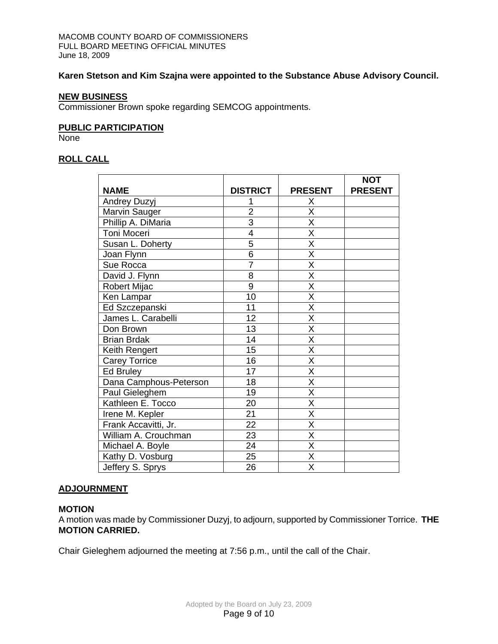# **Karen Stetson and Kim Szajna were appointed to the Substance Abuse Advisory Council.**

### **NEW BUSINESS**

Commissioner Brown spoke regarding SEMCOG appointments.

### **PUBLIC PARTICIPATION**

None

# **ROLL CALL**

|                        |                 |                         | <b>NOT</b>     |
|------------------------|-----------------|-------------------------|----------------|
| <b>NAME</b>            | <b>DISTRICT</b> | <b>PRESENT</b>          | <b>PRESENT</b> |
| Andrey Duzyj           |                 | Χ                       |                |
| Marvin Sauger          | 2               | X                       |                |
| Phillip A. DiMaria     | 3               | X                       |                |
| Toni Moceri            | 4               | X                       |                |
| Susan L. Doherty       | 5               | X                       |                |
| Joan Flynn             | 6               | X                       |                |
| Sue Rocca              | $\overline{7}$  | X                       |                |
| David J. Flynn         | 8               | $\overline{\mathsf{x}}$ |                |
| Robert Mijac           | 9               | X                       |                |
| Ken Lampar             | 10              | $\overline{\mathsf{x}}$ |                |
| Ed Szczepanski         | 11              | $\overline{\mathsf{x}}$ |                |
| James L. Carabelli     | 12              | X                       |                |
| Don Brown              | 13              | X                       |                |
| <b>Brian Brdak</b>     | 14              | $\overline{\mathsf{x}}$ |                |
| Keith Rengert          | 15              | $\overline{\mathsf{x}}$ |                |
| <b>Carey Torrice</b>   | 16              | $\overline{\mathsf{x}}$ |                |
| Ed Bruley              | 17              | X                       |                |
| Dana Camphous-Peterson | 18              | $\overline{\mathsf{x}}$ |                |
| Paul Gieleghem         | 19              | X                       |                |
| Kathleen E. Tocco      | 20              | X                       |                |
| Irene M. Kepler        | 21              | X                       |                |
| Frank Accavitti, Jr.   | 22              | X                       |                |
| William A. Crouchman   | 23              | X                       |                |
| Michael A. Boyle       | $\overline{24}$ | $\overline{\mathsf{x}}$ |                |
| Kathy D. Vosburg       | 25              | $\overline{\mathsf{x}}$ |                |
| Jeffery S. Sprys       | 26              | $\overline{\mathsf{x}}$ |                |

# **ADJOURNMENT**

### **MOTION**

A motion was made by Commissioner Duzyj, to adjourn, supported by Commissioner Torrice. **THE MOTION CARRIED.** 

Chair Gieleghem adjourned the meeting at 7:56 p.m., until the call of the Chair.